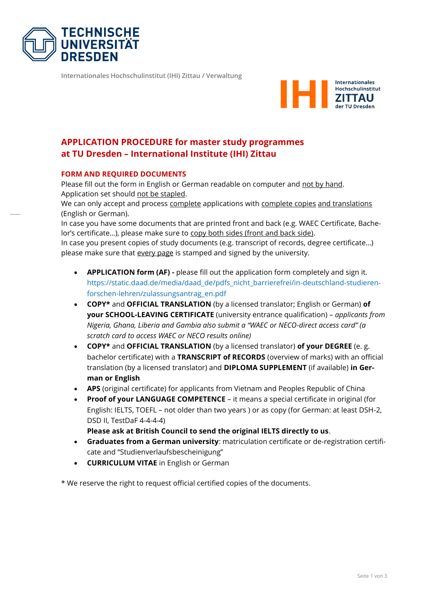

**Internationales Hochschulinstitut (IHI) Zittau / Verwaltung**



# **APPLICATION PROCEDURE for master study programmes at TU Dresden – International Institute (IHI) Zittau**

#### **FORM AND REQUIRED DOCUMENTS**

Please fill out the form in English or German readable on computer and not by hand. Application set should not be stapled.

We can only accept and process complete applications with complete copies and translations (English or German).

In case you have some documents that are printed front and back (e.g. WAEC Certificate, Bachelor's certificate...), please make sure to copy both sides (front and back side).

In case you present copies of study documents (e.g. transcript of records, degree certificate…) please make sure that every page is stamped and signed by the university.

- **APPLICATION form (AF) -** please fill out the application form completely and sign it. [https://static.daad.de/media/daad\\_de/pdfs\\_nicht\\_barrierefrei/in-deutschland-studieren](https://static.daad.de/media/daad_de/pdfs_nicht_barrierefrei/in-deutschland-studieren-forschen-lehren/zulassungsantrag_en.pdf)[forschen-lehren/zulassungsantrag\\_en.pdf](https://static.daad.de/media/daad_de/pdfs_nicht_barrierefrei/in-deutschland-studieren-forschen-lehren/zulassungsantrag_en.pdf)
- **COPY\*** and **OFFICIAL TRANSLATION** (by a licensed translator; English or German) **of your SCHOOL-LEAVING CERTIFICATE** (university entrance qualification) – *applicants from Nigeria, Ghana, Liberia and Gambia also submit a "WAEC or NECO-direct access card" (a scratch card to access WAEC or NECO results online)*
- **COPY\*** and **OFFICIAL TRANSLATION** (by a licensed translator) **of your DEGREE** (e. g. bachelor certificate) with a **TRANSCRIPT of RECORDS** (overview of marks) with an official translation (by a licensed translator) and **DIPLOMA SUPPLEMENT** (if available) **in German or English**
- **APS** (original certificate) for applicants from Vietnam and Peoples Republic of China
- **Proof of your LANGUAGE COMPETENCE** it means a special certificate in original (for English: IELTS, TOEFL – not older than two years ) or as copy (for German: at least DSH-2, DSD II, TestDaF 4-4-4-4)

**Please ask at British Council to send the original IELTS directly to us**.

- **Graduates from a German university**: matriculation certificate or de-registration certificate and "Studienverlaufsbescheinigung"
- **CURRICULUM VITAE** in English or German

\* We reserve the right to request official certified copies of the documents.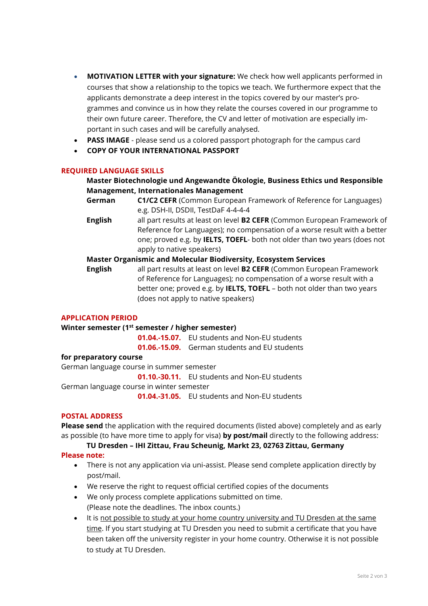- **MOTIVATION LETTER with your signature:** We check how well applicants performed in courses that show a relationship to the topics we teach. We furthermore expect that the applicants demonstrate a deep interest in the topics covered by our master's programmes and convince us in how they relate the courses covered in our programme to their own future career. Therefore, the CV and letter of motivation are especially important in such cases and will be carefully analysed.
- **PASS IMAGE** please send us a colored passport photograph for the campus card
- **COPY OF YOUR INTERNATIONAL PASSPORT**

## **REQUIRED LANGUAGE SKILLS**

## **Master Biotechnologie und Angewandte Ökologie, Business Ethics und Responsible Management, Internationales Management**

- **German C1/C2 CEFR** (Common European Framework of Reference for Languages) e.g. DSH-II, DSDII, TestDaF 4-4-4-4
- **English** all part results at least on level **B2 CEFR** (Common European Framework of Reference for Languages); no compensation of a worse result with a better one; proved e.g. by **IELTS, TOEFL**- both not older than two years (does not apply to native speakers)

## **Master Organismic and Molecular Biodiversity, Ecosystem Services**

**English** all part results at least on level **B2 CEFR** (Common European Framework of Reference for Languages); no compensation of a worse result with a better one; proved e.g. by **IELTS, TOEFL** – both not older than two years (does not apply to native speakers)

#### **APPLICATION PERIOD**

#### **Winter semester (1st semester / higher semester)**

**01.04.-15.07.** EU students and Non-EU students

**01.06.-15.09.** German students and EU students

## **for preparatory course**

German language course in summer semester

**01.10.-30.11.** EU students and Non-EU students

German language course in winter semester

**01.04.-31.05.** EU students and Non-EU students

## **POSTAL ADDRESS**

**Please send** the application with the required documents (listed above) completely and as early as possible (to have more time to apply for visa) **by post/mail** directly to the following address:

**TU Dresden – IHI Zittau, Frau Scheunig, Markt 23, 02763 Zittau, Germany**

#### **Please note:**

- There is not any application via uni-assist. Please send complete application directly by post/mail.
- We reserve the right to request official certified copies of the documents
- We only process complete applications submitted on time. (Please note the deadlines. The inbox counts.)
- It is not possible to study at your home country university and TU Dresden at the same time. If you start studying at TU Dresden you need to submit a certificate that you have been taken off the university register in your home country. Otherwise it is not possible to study at TU Dresden.